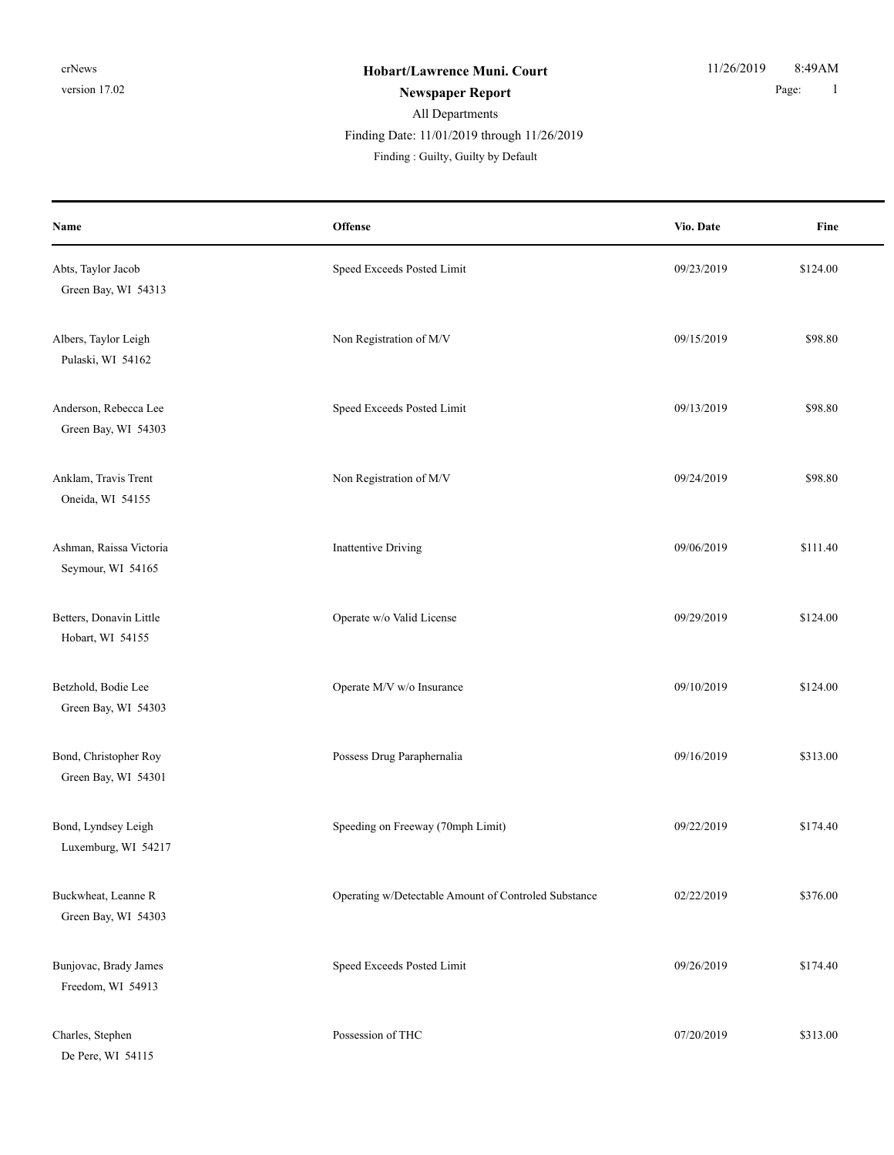De Pere, WI 54115

| Name                                         | Offense                                              | Vio. Date  | Fine     |
|----------------------------------------------|------------------------------------------------------|------------|----------|
| Abts, Taylor Jacob<br>Green Bay, WI 54313    | Speed Exceeds Posted Limit                           | 09/23/2019 | \$124.00 |
| Albers, Taylor Leigh<br>Pulaski, WI 54162    | Non Registration of M/V                              | 09/15/2019 | \$98.80  |
| Anderson, Rebecca Lee<br>Green Bay, WI 54303 | Speed Exceeds Posted Limit                           | 09/13/2019 | \$98.80  |
| Anklam, Travis Trent<br>Oneida, WI 54155     | Non Registration of M/V                              | 09/24/2019 | \$98.80  |
| Ashman, Raissa Victoria<br>Seymour, WI 54165 | <b>Inattentive Driving</b>                           | 09/06/2019 | \$111.40 |
| Betters, Donavin Little<br>Hobart, WI 54155  | Operate w/o Valid License                            | 09/29/2019 | \$124.00 |
| Betzhold, Bodie Lee<br>Green Bay, WI 54303   | Operate M/V w/o Insurance                            | 09/10/2019 | \$124.00 |
| Bond, Christopher Roy<br>Green Bay, WI 54301 | Possess Drug Paraphernalia                           | 09/16/2019 | \$313.00 |
| Bond, Lyndsey Leigh<br>Luxemburg, WI 54217   | Speeding on Freeway (70mph Limit)                    | 09/22/2019 | \$174.40 |
| Buckwheat, Leanne R<br>Green Bay, WI 54303   | Operating w/Detectable Amount of Controled Substance | 02/22/2019 | \$376.00 |
| Bunjovac, Brady James<br>Freedom, WI 54913   | Speed Exceeds Posted Limit                           | 09/26/2019 | \$174.40 |
| Charles, Stephen                             | Possession of THC                                    | 07/20/2019 | \$313.00 |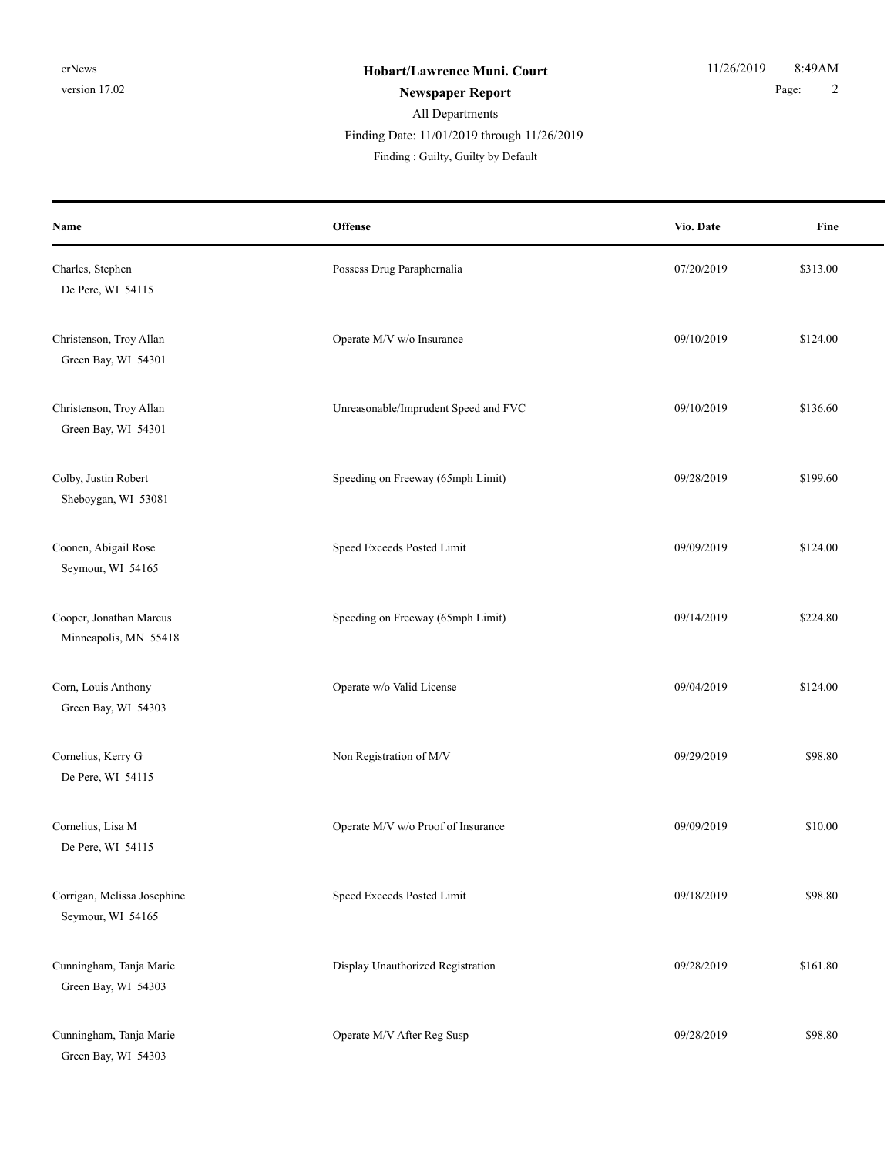| Name                                             | Offense                              | Vio. Date  | Fine     |
|--------------------------------------------------|--------------------------------------|------------|----------|
| Charles, Stephen<br>De Pere, WI 54115            | Possess Drug Paraphernalia           | 07/20/2019 | \$313.00 |
| Christenson, Troy Allan<br>Green Bay, WI 54301   | Operate M/V w/o Insurance            | 09/10/2019 | \$124.00 |
| Christenson, Troy Allan<br>Green Bay, WI 54301   | Unreasonable/Imprudent Speed and FVC | 09/10/2019 | \$136.60 |
| Colby, Justin Robert<br>Sheboygan, WI 53081      | Speeding on Freeway (65mph Limit)    | 09/28/2019 | \$199.60 |
| Coonen, Abigail Rose<br>Seymour, WI 54165        | Speed Exceeds Posted Limit           | 09/09/2019 | \$124.00 |
| Cooper, Jonathan Marcus<br>Minneapolis, MN 55418 | Speeding on Freeway (65mph Limit)    | 09/14/2019 | \$224.80 |
| Corn, Louis Anthony<br>Green Bay, WI 54303       | Operate w/o Valid License            | 09/04/2019 | \$124.00 |
| Cornelius, Kerry G<br>De Pere, WI 54115          | Non Registration of M/V              | 09/29/2019 | \$98.80  |
| Cornelius, Lisa M<br>De Pere, WI 54115           | Operate M/V w/o Proof of Insurance   | 09/09/2019 | \$10.00  |
| Corrigan, Melissa Josephine<br>Seymour, WI 54165 | Speed Exceeds Posted Limit           | 09/18/2019 | \$98.80  |
| Cunningham, Tanja Marie<br>Green Bay, WI 54303   | Display Unauthorized Registration    | 09/28/2019 | \$161.80 |
| Cunningham, Tanja Marie<br>Green Bay, WI 54303   | Operate M/V After Reg Susp           | 09/28/2019 | \$98.80  |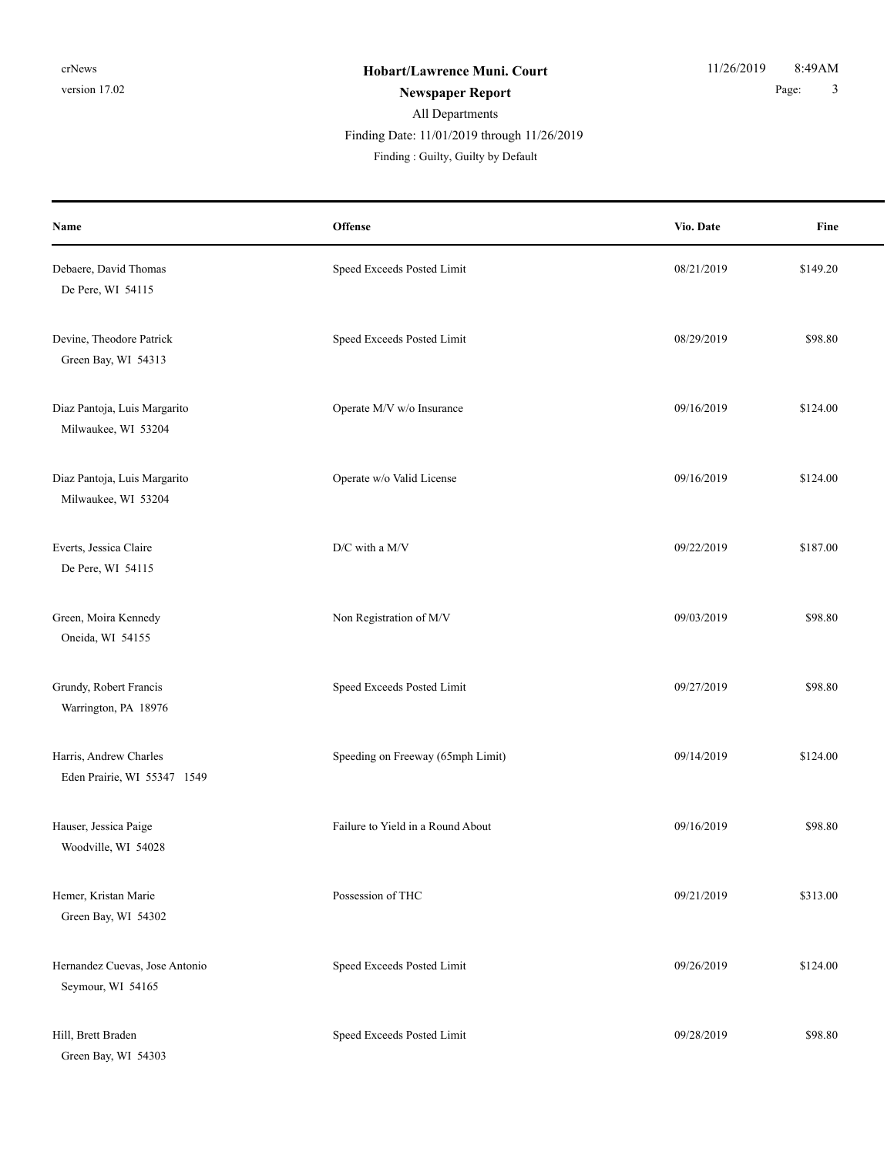| Name                                                  | Offense                           | Vio. Date  | Fine     |
|-------------------------------------------------------|-----------------------------------|------------|----------|
| Debaere, David Thomas<br>De Pere, WI 54115            | Speed Exceeds Posted Limit        | 08/21/2019 | \$149.20 |
| Devine, Theodore Patrick<br>Green Bay, WI 54313       | Speed Exceeds Posted Limit        | 08/29/2019 | \$98.80  |
| Diaz Pantoja, Luis Margarito<br>Milwaukee, WI 53204   | Operate M/V w/o Insurance         | 09/16/2019 | \$124.00 |
| Diaz Pantoja, Luis Margarito<br>Milwaukee, WI 53204   | Operate w/o Valid License         | 09/16/2019 | \$124.00 |
| Everts, Jessica Claire<br>De Pere, WI 54115           | D/C with a M/V                    | 09/22/2019 | \$187.00 |
| Green, Moira Kennedy<br>Oneida, WI 54155              | Non Registration of M/V           | 09/03/2019 | \$98.80  |
| Grundy, Robert Francis<br>Warrington, PA 18976        | Speed Exceeds Posted Limit        | 09/27/2019 | \$98.80  |
| Harris, Andrew Charles<br>Eden Prairie, WI 55347 1549 | Speeding on Freeway (65mph Limit) | 09/14/2019 | \$124.00 |
| Hauser, Jessica Paige<br>Woodville, WI 54028          | Failure to Yield in a Round About | 09/16/2019 | \$98.80  |
| Hemer, Kristan Marie<br>Green Bay, WI 54302           | Possession of THC                 | 09/21/2019 | \$313.00 |
| Hernandez Cuevas, Jose Antonio<br>Seymour, WI 54165   | Speed Exceeds Posted Limit        | 09/26/2019 | \$124.00 |
| Hill, Brett Braden                                    | Speed Exceeds Posted Limit        | 09/28/2019 | \$98.80  |

Green Bay, WI 54303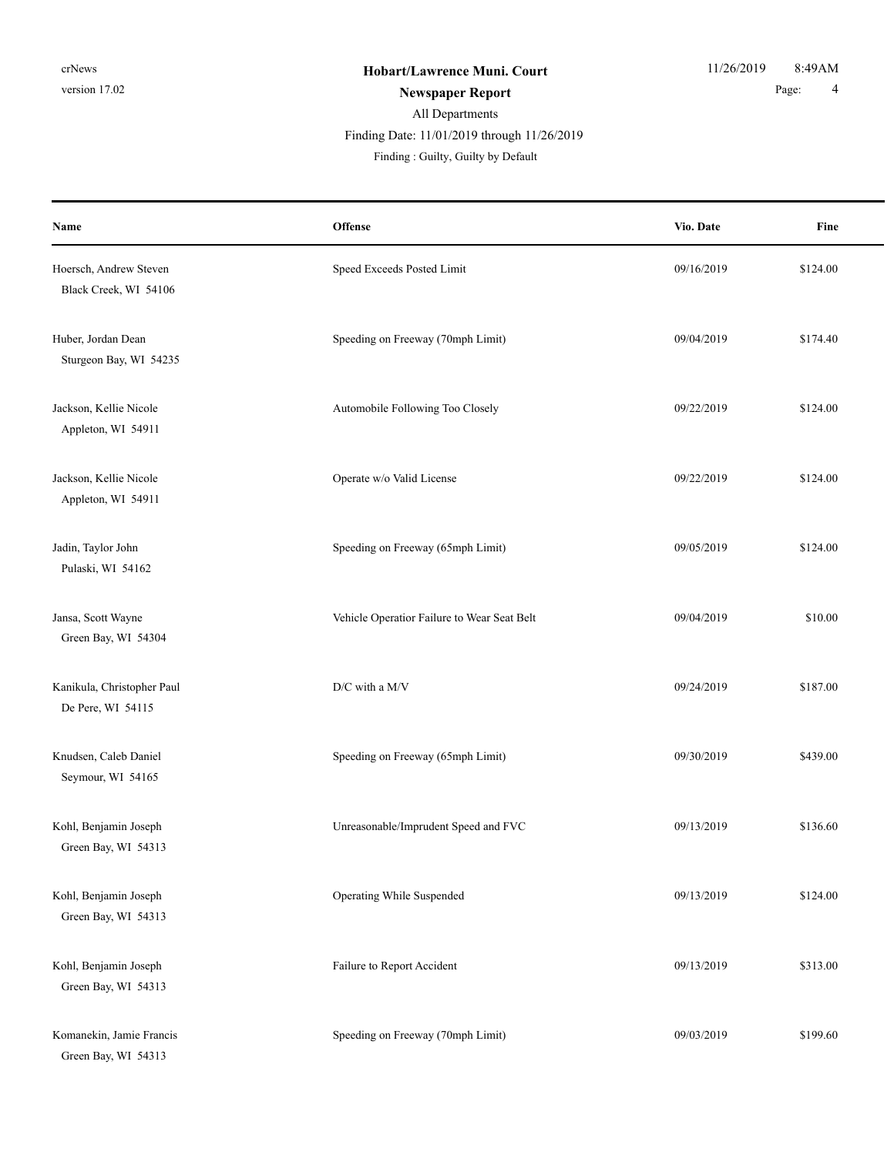| Name                                            | Offense                                     | Vio. Date  | Fine     |
|-------------------------------------------------|---------------------------------------------|------------|----------|
| Hoersch, Andrew Steven<br>Black Creek, WI 54106 | Speed Exceeds Posted Limit                  | 09/16/2019 | \$124.00 |
| Huber, Jordan Dean<br>Sturgeon Bay, WI 54235    | Speeding on Freeway (70mph Limit)           | 09/04/2019 | \$174.40 |
| Jackson, Kellie Nicole<br>Appleton, WI 54911    | Automobile Following Too Closely            | 09/22/2019 | \$124.00 |
| Jackson, Kellie Nicole<br>Appleton, WI 54911    | Operate w/o Valid License                   | 09/22/2019 | \$124.00 |
| Jadin, Taylor John<br>Pulaski, WI 54162         | Speeding on Freeway (65mph Limit)           | 09/05/2019 | \$124.00 |
| Jansa, Scott Wayne<br>Green Bay, WI 54304       | Vehicle Operatior Failure to Wear Seat Belt | 09/04/2019 | \$10.00  |
| Kanikula, Christopher Paul<br>De Pere, WI 54115 | $\mathbf{D}/\mathbf{C}$ with a M/V          | 09/24/2019 | \$187.00 |
| Knudsen, Caleb Daniel<br>Seymour, WI 54165      | Speeding on Freeway (65mph Limit)           | 09/30/2019 | \$439.00 |
| Kohl, Benjamin Joseph<br>Green Bay, WI 54313    | Unreasonable/Imprudent Speed and FVC        | 09/13/2019 | \$136.60 |
| Kohl, Benjamin Joseph<br>Green Bay, WI 54313    | Operating While Suspended                   | 09/13/2019 | \$124.00 |
| Kohl, Benjamin Joseph<br>Green Bay, WI 54313    | Failure to Report Accident                  | 09/13/2019 | \$313.00 |
| Komanekin, Jamie Francis<br>Green Bay, WI 54313 | Speeding on Freeway (70mph Limit)           | 09/03/2019 | \$199.60 |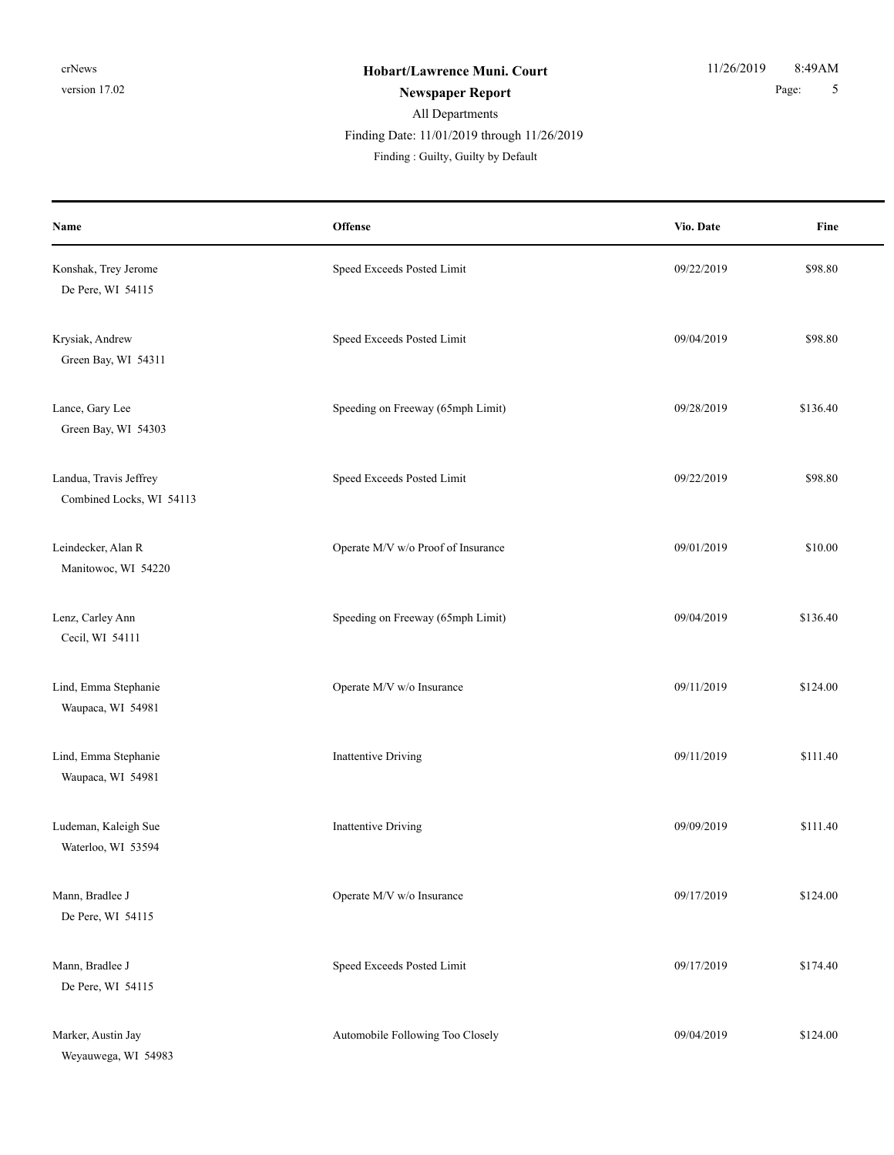| Name                                               | Offense                            | Vio. Date  | Fine     |
|----------------------------------------------------|------------------------------------|------------|----------|
| Konshak, Trey Jerome<br>De Pere, WI 54115          | Speed Exceeds Posted Limit         | 09/22/2019 | \$98.80  |
| Krysiak, Andrew<br>Green Bay, WI 54311             | Speed Exceeds Posted Limit         | 09/04/2019 | \$98.80  |
| Lance, Gary Lee<br>Green Bay, WI 54303             | Speeding on Freeway (65mph Limit)  | 09/28/2019 | \$136.40 |
| Landua, Travis Jeffrey<br>Combined Locks, WI 54113 | Speed Exceeds Posted Limit         | 09/22/2019 | \$98.80  |
| Leindecker, Alan R<br>Manitowoc, WI 54220          | Operate M/V w/o Proof of Insurance | 09/01/2019 | \$10.00  |
| Lenz, Carley Ann<br>Cecil, WI 54111                | Speeding on Freeway (65mph Limit)  | 09/04/2019 | \$136.40 |
| Lind, Emma Stephanie<br>Waupaca, WI 54981          | Operate M/V w/o Insurance          | 09/11/2019 | \$124.00 |
| Lind, Emma Stephanie<br>Waupaca, WI 54981          | <b>Inattentive Driving</b>         | 09/11/2019 | \$111.40 |
| Ludeman, Kaleigh Sue<br>Waterloo, WI 53594         | <b>Inattentive Driving</b>         | 09/09/2019 | \$111.40 |
| Mann, Bradlee J<br>De Pere, WI 54115               | Operate M/V w/o Insurance          | 09/17/2019 | \$124.00 |
| Mann, Bradlee J<br>De Pere, WI 54115               | Speed Exceeds Posted Limit         | 09/17/2019 | \$174.40 |
| Marker, Austin Jay<br>Weyauwega, WI 54983          | Automobile Following Too Closely   | 09/04/2019 | \$124.00 |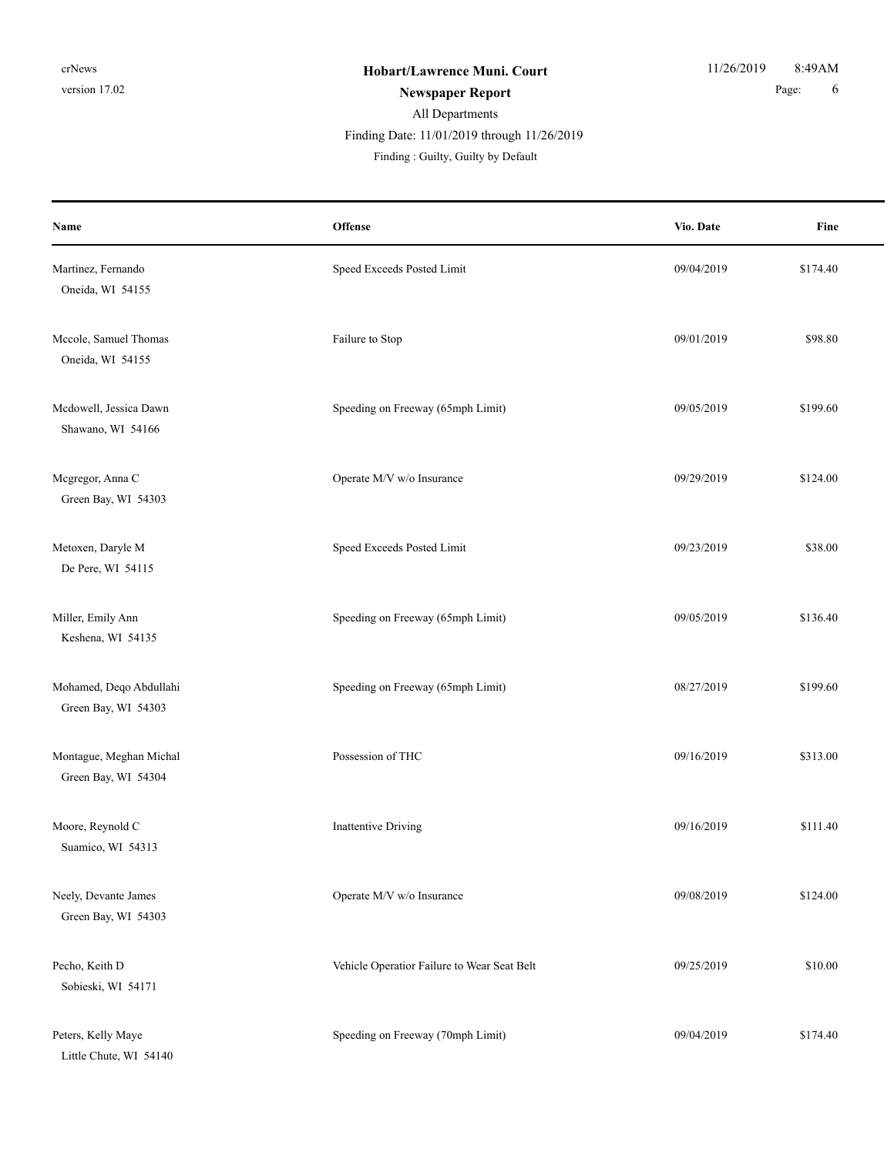| Name                                           | Offense                                     | Vio. Date  | Fine     |
|------------------------------------------------|---------------------------------------------|------------|----------|
| Martinez, Fernando<br>Oneida, WI 54155         | Speed Exceeds Posted Limit                  | 09/04/2019 | \$174.40 |
| Mccole, Samuel Thomas<br>Oneida, WI 54155      | Failure to Stop                             | 09/01/2019 | \$98.80  |
| Mcdowell, Jessica Dawn<br>Shawano, WI 54166    | Speeding on Freeway (65mph Limit)           | 09/05/2019 | \$199.60 |
| Mcgregor, Anna C<br>Green Bay, WI 54303        | Operate M/V w/o Insurance                   | 09/29/2019 | \$124.00 |
| Metoxen, Daryle M<br>De Pere, WI 54115         | Speed Exceeds Posted Limit                  | 09/23/2019 | \$38.00  |
| Miller, Emily Ann<br>Keshena, WI 54135         | Speeding on Freeway (65mph Limit)           | 09/05/2019 | \$136.40 |
| Mohamed, Deqo Abdullahi<br>Green Bay, WI 54303 | Speeding on Freeway (65mph Limit)           | 08/27/2019 | \$199.60 |
| Montague, Meghan Michal<br>Green Bay, WI 54304 | Possession of THC                           | 09/16/2019 | \$313.00 |
| Moore, Reynold C<br>Suamico, WI 54313          | Inattentive Driving                         | 09/16/2019 | \$111.40 |
| Neely, Devante James<br>Green Bay, WI 54303    | Operate M/V w/o Insurance                   | 09/08/2019 | \$124.00 |
| Pecho, Keith D<br>Sobieski, WI 54171           | Vehicle Operatior Failure to Wear Seat Belt | 09/25/2019 | \$10.00  |
| Peters, Kelly Maye<br>Little Chute, WI 54140   | Speeding on Freeway (70mph Limit)           | 09/04/2019 | \$174.40 |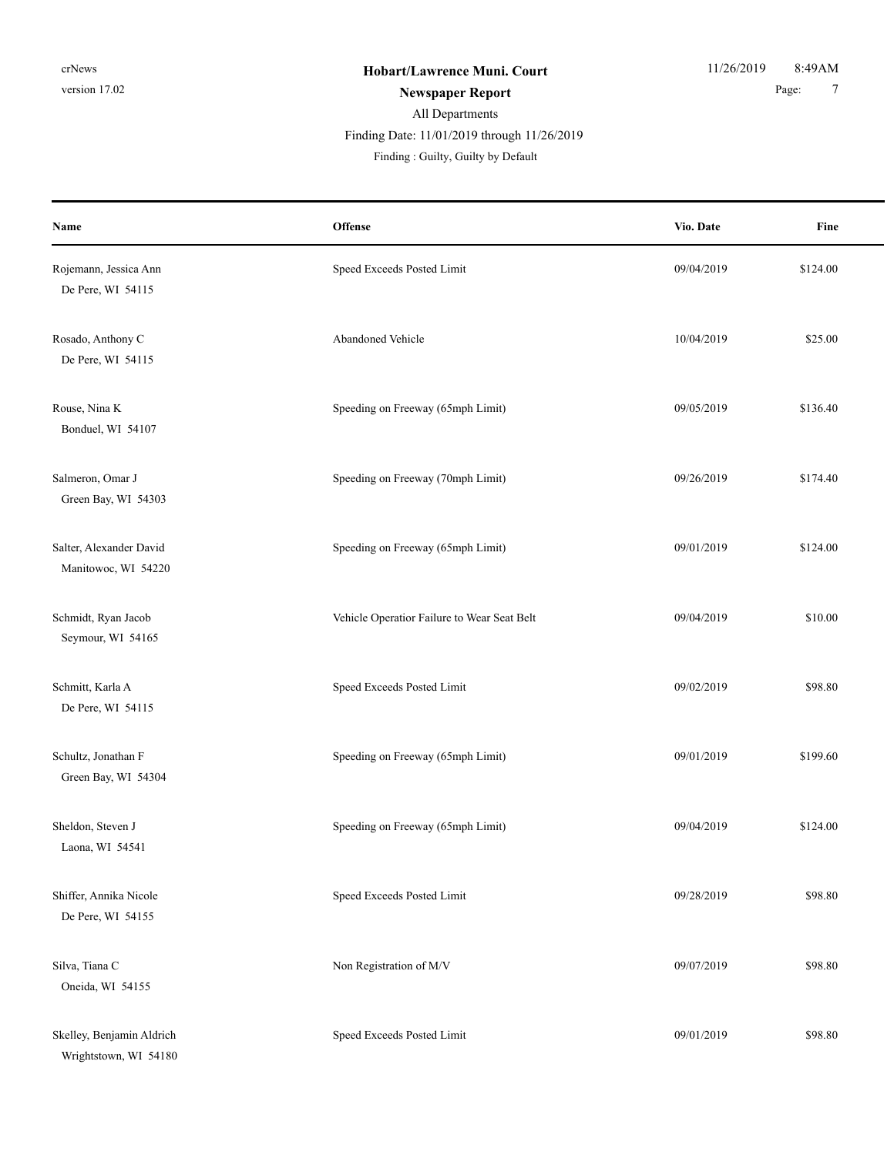| Name                                               | Offense                                     | Vio. Date  | Fine     |
|----------------------------------------------------|---------------------------------------------|------------|----------|
| Rojemann, Jessica Ann<br>De Pere, WI 54115         | Speed Exceeds Posted Limit                  | 09/04/2019 | \$124.00 |
| Rosado, Anthony C<br>De Pere, WI 54115             | Abandoned Vehicle                           | 10/04/2019 | \$25.00  |
| Rouse, Nina K<br>Bonduel, WI 54107                 | Speeding on Freeway (65mph Limit)           | 09/05/2019 | \$136.40 |
| Salmeron, Omar J<br>Green Bay, WI 54303            | Speeding on Freeway (70mph Limit)           | 09/26/2019 | \$174.40 |
| Salter, Alexander David<br>Manitowoc, WI 54220     | Speeding on Freeway (65mph Limit)           | 09/01/2019 | \$124.00 |
| Schmidt, Ryan Jacob<br>Seymour, WI 54165           | Vehicle Operatior Failure to Wear Seat Belt | 09/04/2019 | \$10.00  |
| Schmitt, Karla A<br>De Pere, WI 54115              | Speed Exceeds Posted Limit                  | 09/02/2019 | \$98.80  |
| Schultz, Jonathan F<br>Green Bay, WI 54304         | Speeding on Freeway (65mph Limit)           | 09/01/2019 | \$199.60 |
| Sheldon, Steven J<br>Laona, WI 54541               | Speeding on Freeway (65mph Limit)           | 09/04/2019 | \$124.00 |
| Shiffer, Annika Nicole<br>De Pere, WI 54155        | Speed Exceeds Posted Limit                  | 09/28/2019 | \$98.80  |
| Silva, Tiana C<br>Oneida, WI 54155                 | Non Registration of M/V                     | 09/07/2019 | \$98.80  |
| Skelley, Benjamin Aldrich<br>Wrightstown, WI 54180 | Speed Exceeds Posted Limit                  | 09/01/2019 | \$98.80  |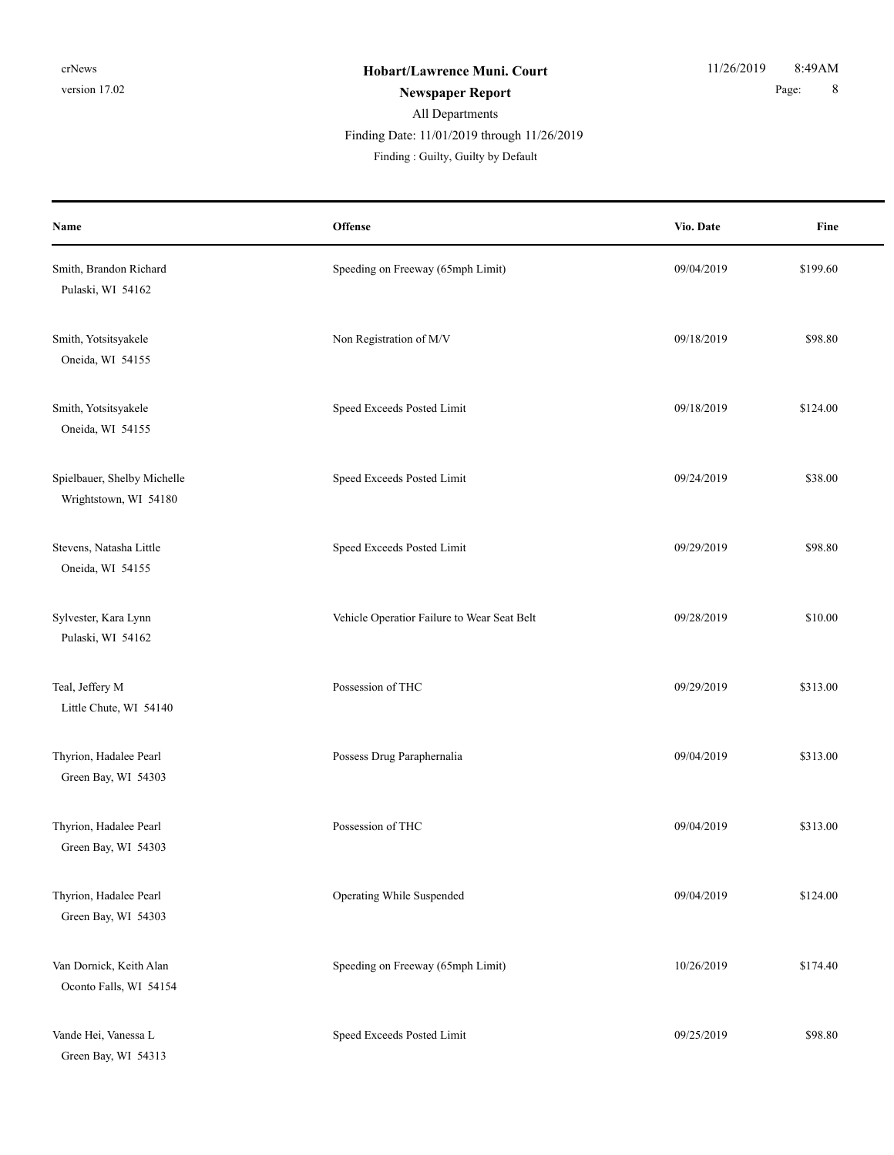| Name                                                 | Offense                                     | Vio. Date  | Fine     |
|------------------------------------------------------|---------------------------------------------|------------|----------|
| Smith, Brandon Richard<br>Pulaski, WI 54162          | Speeding on Freeway (65mph Limit)           | 09/04/2019 | \$199.60 |
| Smith, Yotsitsyakele<br>Oneida, WI 54155             | Non Registration of M/V                     | 09/18/2019 | \$98.80  |
| Smith, Yotsitsyakele<br>Oneida, WI 54155             | Speed Exceeds Posted Limit                  | 09/18/2019 | \$124.00 |
| Spielbauer, Shelby Michelle<br>Wrightstown, WI 54180 | Speed Exceeds Posted Limit                  | 09/24/2019 | \$38.00  |
| Stevens, Natasha Little<br>Oneida, WI 54155          | Speed Exceeds Posted Limit                  | 09/29/2019 | \$98.80  |
| Sylvester, Kara Lynn<br>Pulaski, WI 54162            | Vehicle Operatior Failure to Wear Seat Belt | 09/28/2019 | \$10.00  |
| Teal, Jeffery M<br>Little Chute, WI 54140            | Possession of THC                           | 09/29/2019 | \$313.00 |
| Thyrion, Hadalee Pearl<br>Green Bay, WI 54303        | Possess Drug Paraphernalia                  | 09/04/2019 | \$313.00 |
| Thyrion, Hadalee Pearl<br>Green Bay, WI 54303        | Possession of THC                           | 09/04/2019 | \$313.00 |
| Thyrion, Hadalee Pearl<br>Green Bay, WI 54303        | Operating While Suspended                   | 09/04/2019 | \$124.00 |
| Van Dornick, Keith Alan<br>Oconto Falls, WI 54154    | Speeding on Freeway (65mph Limit)           | 10/26/2019 | \$174.40 |
| Vande Hei, Vanessa L<br>Green Bay, WI 54313          | Speed Exceeds Posted Limit                  | 09/25/2019 | \$98.80  |